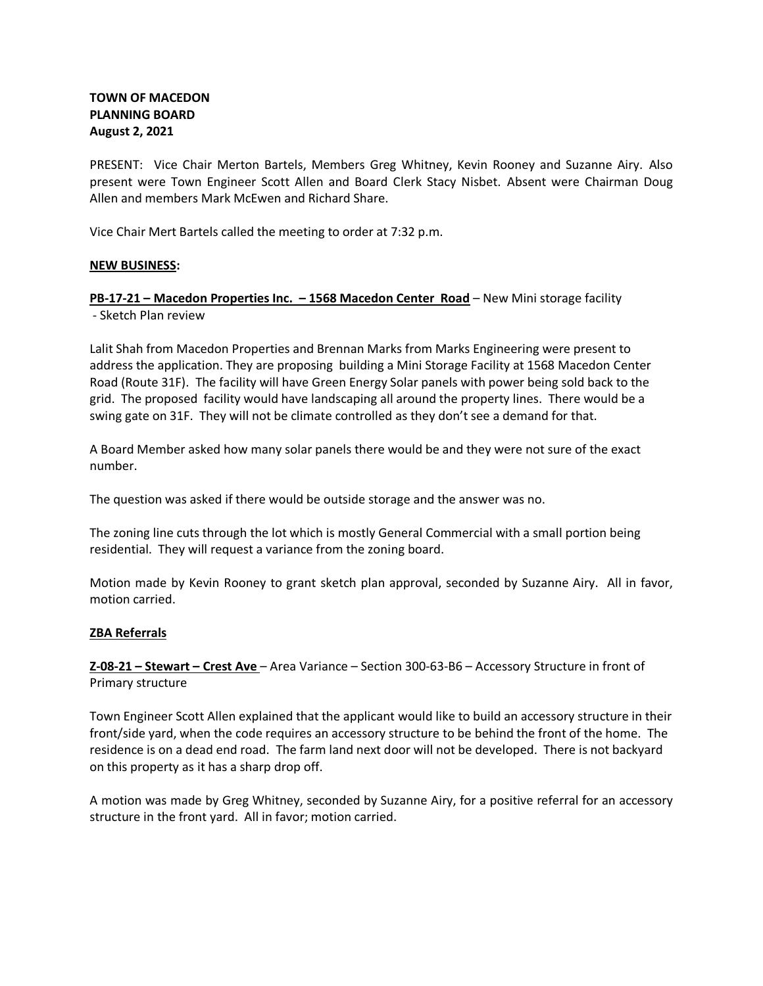# **TOWN OF MACEDON PLANNING BOARD August 2, 2021**

PRESENT: Vice Chair Merton Bartels, Members Greg Whitney, Kevin Rooney and Suzanne Airy. Also present were Town Engineer Scott Allen and Board Clerk Stacy Nisbet. Absent were Chairman Doug Allen and members Mark McEwen and Richard Share.

Vice Chair Mert Bartels called the meeting to order at 7:32 p.m.

### **NEW BUSINESS:**

**PB-17-21 – Macedon Properties Inc. – 1568 Macedon Center Road** – New Mini storage facility - Sketch Plan review

Lalit Shah from Macedon Properties and Brennan Marks from Marks Engineering were present to address the application. They are proposing building a Mini Storage Facility at 1568 Macedon Center Road (Route 31F). The facility will have Green Energy Solar panels with power being sold back to the grid. The proposed facility would have landscaping all around the property lines. There would be a swing gate on 31F. They will not be climate controlled as they don't see a demand for that.

A Board Member asked how many solar panels there would be and they were not sure of the exact number.

The question was asked if there would be outside storage and the answer was no.

The zoning line cuts through the lot which is mostly General Commercial with a small portion being residential. They will request a variance from the zoning board.

Motion made by Kevin Rooney to grant sketch plan approval, seconded by Suzanne Airy. All in favor, motion carried.

## **ZBA Referrals**

**Z-08-21 – Stewart – Crest Ave** – Area Variance – Section 300-63-B6 – Accessory Structure in front of Primary structure

Town Engineer Scott Allen explained that the applicant would like to build an accessory structure in their front/side yard, when the code requires an accessory structure to be behind the front of the home. The residence is on a dead end road. The farm land next door will not be developed. There is not backyard on this property as it has a sharp drop off.

A motion was made by Greg Whitney, seconded by Suzanne Airy, for a positive referral for an accessory structure in the front yard. All in favor; motion carried.